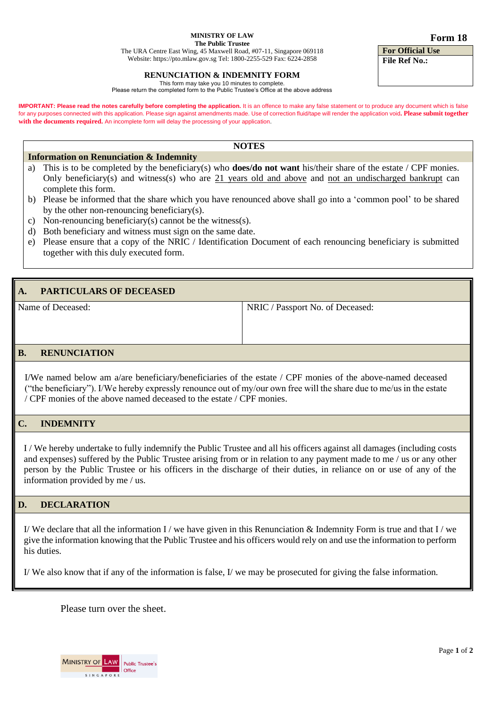#### **MINISTRY OF LAW**

**The Public Trustee**

The URA Centre East Wing, 45 Maxwell Road, #07-11, Singapore 069118 Website: [https://pto.mlaw.gov.sg](https://pto.mlaw.gov.sg/) Tel: 1800-2255-529 Fax: 6224-2858

#### **RENUNCIATION & INDEMNITY FORM**

This form may take you 10 minutes to complete. Please return the completed form to the Public Trustee's Office at the above address

**IMPORTANT: Please read the notes carefully before completing the application.** It is an offence to make any false statement or to produce any document which is false for any purposes connected with this application. Please sign against amendments made. Use of correction fluid/tape will render the application void**. Please submit together with the documents required.** An incomplete form will delay the processing of your application.

#### **NOTES**

#### **Information on Renunciation & Indemnity**

- a) This is to be completed by the beneficiary(s) who **does/do not want** his/their share of the estate / CPF monies. Only beneficiary(s) and witness(s) who are 21 years old and above and not an undischarged bankrupt can complete this form.
- b) Please be informed that the share which you have renounced above shall go into a 'common pool' to be shared by the other non-renouncing beneficiary(s).
- c) Non-renouncing beneficiary(s) cannot be the witness(s).
- d) Both beneficiary and witness must sign on the same date.
- e) Please ensure that a copy of the NRIC / Identification Document of each renouncing beneficiary is submitted together with this duly executed form.

# **PARTICULARS OF DECEASED** Name of Deceased: NRIC / Passport No. of Deceased: **B. RENUNCIATION**

I/We named below am a/are beneficiary/beneficiaries of the estate / CPF monies of the above-named deceased ("the beneficiary"). I/We hereby expressly renounce out of my/our own free will the share due to me/us in the estate / CPF monies of the above named deceased to the estate / CPF monies.

## **C. INDEMNITY**

I / We hereby undertake to fully indemnify the Public Trustee and all his officers against all damages (including costs and expenses) suffered by the Public Trustee arising from or in relation to any payment made to me / us or any other person by the Public Trustee or his officers in the discharge of their duties, in reliance on or use of any of the information provided by me / us.

### **D. DECLARATION**

I/ We declare that all the information I / we have given in this Renunciation & Indemnity Form is true and that I / we give the information knowing that the Public Trustee and his officers would rely on and use the information to perform his duties.

I/ We also know that if any of the information is false, I/ we may be prosecuted for giving the false information.

Please turn over the sheet.

MINISTRY OF LAW Public Trustee's **Office SINGAPORE** 

**For Official Use File Ref No.:**